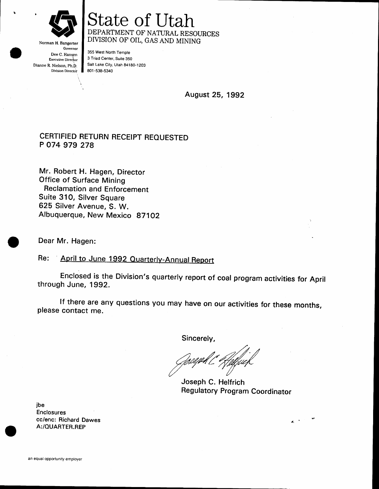

Norman H. Bangerter Governor Dee C. Hansen Executive Director Dianne R. Nielson, ph.b. Division Director

# State of Utah DIVISION OF OIL, GAS AND MINING

355 West North Temple 3 Triad Center, Suite 850 Salt Lake City, Urah 84180-1203 801 -538,5340

August 25, 1992

#### CERT]FIED RETURN RECEIPT REOUESTED P O74 979 278

Mr. Robert H. Hagen, Director Office of Surface Mining Heclamation and Enforcement Suite 31O, Silver Square 625 Silver Avenue, S. W. Albuquerque, New Mexico 871Oz

Dear Mr. Hagen:

April to June 1992 Quarterly-Annual Report Re:

Enclosed is the Division's quarterly report of coal program activities for April through June, 1992.

lf there are any questions you may have on our activities for these months, please contact me.

Sincerely,

Joseph C. Helfrich Regulatory Program Coordinator

jbe Enclosures cc/enc: Hichard Dawes A:/OUARTER.REP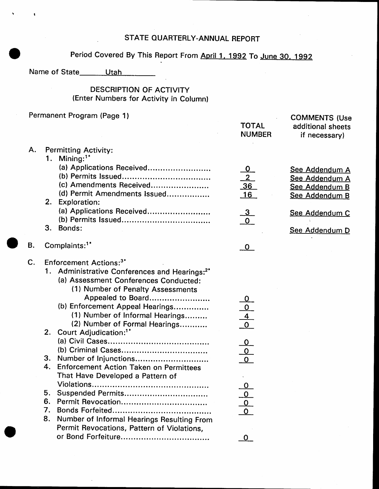## STATE QUARTERLY-ANNUAL REPORT

## Period Covered By This Report From April 1, 1992 To June 30, 1992

**COMMENTS (Use** 

Name of State\_\_\_\_\_\_\_Utah

## **DESCRIPTION OF ACTIVITY** (Enter Numbers for Activity in Column)

#### Permanent Program (Page 1)

|           |                |                                                                                                                                                                                                                                                                                                                                                   | <b>TOTAL</b><br><b>NUMBER</b>                                     | additional sheets<br>if necessary)                                   |
|-----------|----------------|---------------------------------------------------------------------------------------------------------------------------------------------------------------------------------------------------------------------------------------------------------------------------------------------------------------------------------------------------|-------------------------------------------------------------------|----------------------------------------------------------------------|
| Α.        | 1.             | <b>Permitting Activity:</b><br>Mining: $1^*$                                                                                                                                                                                                                                                                                                      |                                                                   |                                                                      |
|           |                | (a) Applications Received<br>(c) Amendments Received<br>(d) Permit Amendments Issued                                                                                                                                                                                                                                                              | <u>0</u><br>$\frac{2}{36}$<br>$\frac{36}{16}$                     | See Addendum A<br>See Addendum A<br>See Addendum B<br>See Addendum B |
|           |                | 2. Exploration:<br>(a) Applications Received                                                                                                                                                                                                                                                                                                      | $\frac{3}{0}$                                                     | See Addendum C                                                       |
|           |                | 3. Bonds:                                                                                                                                                                                                                                                                                                                                         |                                                                   | See Addendum D                                                       |
| <b>B.</b> |                | Complaints: <sup>1*</sup>                                                                                                                                                                                                                                                                                                                         | $\mathbf{O}$                                                      |                                                                      |
| C.        |                | Enforcement Actions: <sup>3*</sup><br>1. Administrative Conferences and Hearings: <sup>2*</sup><br>(a) Assessment Conferences Conducted:<br>(1) Number of Penalty Assessments<br>Appealed to Board<br>(b) Enforcement Appeal Hearings<br>(1) Number of Informal Hearings<br>(2) Number of Formal Hearings<br>2. Court Adjudication: <sup>1*</sup> | $\begin{array}{c}\n0 \\ 0 \\ \hline\n4 \\ \hline\n0\n\end{array}$ |                                                                      |
|           |                | 3. Number of Injunctions<br>4. Enforcement Action Taken on Permittees<br>That Have Developed a Pattern of                                                                                                                                                                                                                                         | $\begin{array}{c}\n0 \\ \hline\n0 \\ \hline\n0\n\end{array}$      |                                                                      |
|           | 5.<br>7.<br>8. | Number of Informal Hearings Resulting From<br>Permit Revocations, Pattern of Violations,                                                                                                                                                                                                                                                          | $\begin{array}{c}\n0 \\ 0 \\ 0\n\end{array}$                      |                                                                      |
|           |                |                                                                                                                                                                                                                                                                                                                                                   | $\mathbf 0$                                                       |                                                                      |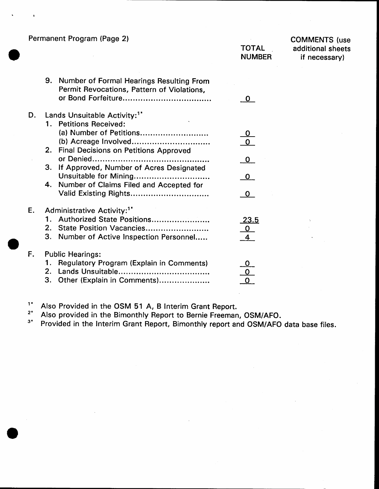Permanent Program (Page 2l

COMMENTS (use additional sheets if necessary)

|    |           | 9. Number of Formal Hearings Resulting From<br>Permit Revocations, Pattern of Violations,                 |                |
|----|-----------|-----------------------------------------------------------------------------------------------------------|----------------|
| D. |           | Lands Unsuitable Activity: <sup>1*</sup>                                                                  |                |
|    |           | 1. Petitions Received:                                                                                    |                |
|    |           | (a) Number of Petitions                                                                                   |                |
|    | 2.        | (b) Acreage Involved<br><b>Final Decisions on Petitions Approved</b>                                      |                |
|    |           | or Denied                                                                                                 | 0              |
|    | 3.        | If Approved, Number of Acres Designated                                                                   |                |
|    | 4.        | Unsuitable for Mining                                                                                     | 0.             |
|    |           | Number of Claims Filed and Accepted for<br>Valid Existing Rights                                          | O              |
| E. |           | Administrative Activity: <sup>1*</sup>                                                                    |                |
|    | 1.        | Authorized State Positions                                                                                | <u> 23.5</u>   |
|    | 2.        | State Position Vacancies                                                                                  | $\overline{0}$ |
|    | 3.        | Number of Active Inspection Personnel                                                                     |                |
| F. | 2.1<br>3. | <b>Public Hearings:</b><br><b>Regulatory Program (Explain in Comments)</b><br>Other (Explain in Comments) |                |
|    |           |                                                                                                           |                |

<sup>1</sup>\* Also Provided in the OSM 51 A, B Interim Grant Report.<br><sup>2\*</sup> Also provided in the Bimonthly Report to Bernie Freeman, OSM/AFO.

<sup>3\*</sup> Provided in the Interim Grant Report, Bimonthly report and OSM/AFO data base files.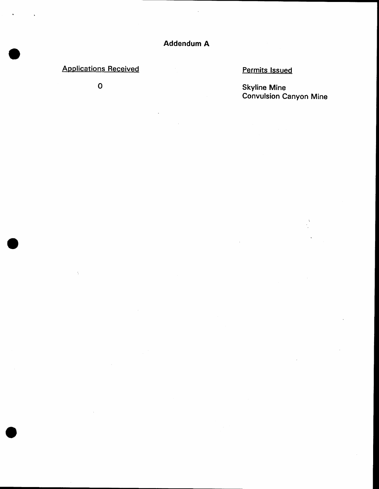## **Applications Received**

 $\mathbf 0$ 

## **Permits Issued**

**Skyline Mine<br>Convulsion Canyon Mine**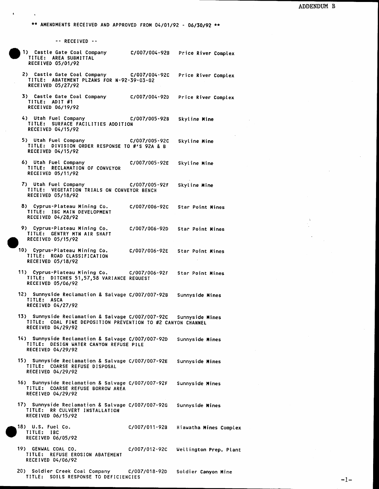\*\* AMENDMENTS RECEIVED AND APPROVED FROM 04/01/92 - 06/30/92 \*\*

-- RECEIVED --

- 1) Castle Gate Coal Company C/007/004-92B Price River Complex TITLE: AREA SUBMITTAL RECEIVED 05/01/92
- 2) Castle Gate Coal Company C/007/004-92C Price River Complex TITLE: ABATEMENT PLZANS FOR N-92-39-03-02 RECEIVED 05/27/92
- 3) Castle Gate Coal Company C/007/004-92D Price River Complex TITLE: ADIT #1 RECEIVED 06/19/92
- 4) Utah Fuel Company C/007/005-92B Skyline Mine TITLE: SURFACE FACILITIES ADDITION RECEIVED 04/15/92
- 5) Utah Fuel Company C/007/005-92C Skyline Mine TITLE: DIVISION ORDER RESPONSE TO #'S 92A & B RECEIVED 04/15/92
- 6) Utah Fuel Company C/007/005-92E Skyline Mine TITLE: RECLAMATION OF CONVEYOR RECEIVED 05/11/92
- 7) Utah Fuel Company C/007/005-92F Skyline Mine TITLE: VEGETATION TRIALS ON CONVEYOR BENCH RECEIVED 05/18/92
- 8) Cyprus-Plateau Mining Co. C/007/006-92C **Star Point Mines** TITLE: IBC MAIN DEVELOPMENT RECEIVED 04/28/92
- 9) Cyprus-Plateau Mining Co. C/007/006-92D **Star Point Mines** TITLE: GENTRY MTN AIR SHAFT RECEIVED 05/15/92
- 10) Cyprus-Plateau Mining Co. C/007/006-92E **Star Point Mines** TITLE: ROAD CLASSIFICATION RECEIVED 05/18/92
- 11) Cyprus-Plateau Mining Co. C/007/006-92F Star Point Mines TITLE: DITCHES 51,57,58 VARIANCE REQUEST RECEIVED 05/06/92
- 12) Sunnyside Reclamation & Salvage C/007/007-92B Sunnyside Mines TITLE: ASCA RECEIVED 04/27/92
- 13) Sunnyside Reclamation & Salvage C/007/007-92C Sunnyside Mines TITLE: COAL FINE DEPOSITION PREVENTION TO #2 CANYON CHANNEL RECEIVED 04/29/92
- 14) Sunnyside Reclamation & Salvage C/007/007-92D Sunnyside Mines TITLE: DESIGN WATER CANYON REFUSE PILE RECEIVED 04/29/92
- 15) Sunnyside Reclamation & Salvage C/007/007-92E Sunnyside Mines TITLE: COARSE REFUSE DISPOSAL RECEIVED 04/29/92
- 16) Sunnyside Reclamation & Salvage C/007/007-92F Sunnyside Mines TITLE: COARSE REFUSE BORROW AREA RECEIVED 04/29/92
- 17) Sunnyside Reclamation & Salvage C/007/007-92G Sunnyside Mines TITLE: RR CULVERT INSTALLATION RECEIVED 06/15/92
- 18) U.S. Fuel Co. C/007/011-92B TITLE: IBC RECEIVED 06/05/92
- 19) GENWAL COAL CO. C/007/012-92C Wellington Prep. Plant TITLE: REFUSE EROSION ABATEMENT RECEIVED 04/06/92

Hiawatha Mines Complex

20) Soldier Creek Coal Company C/007/018-92D Soldier Canyon Mine TITLE: SOILS RESPONSE TO DEFICIENCIES

 $-1-$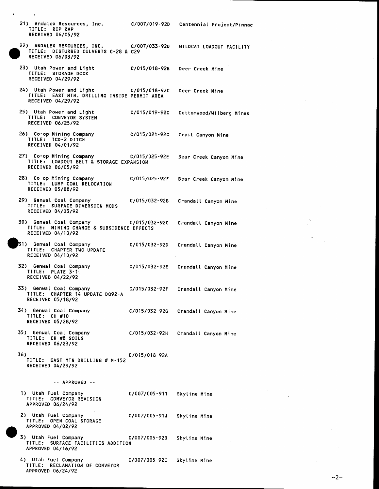21) Andalex Resources, Inc. TITLE: RIP RAP RECEIVED 06/05/92



22) ANDALEX RESOURCES, INC. C/007/033-92D WILDCAT LOADOUT FACILITY TITLE: DISTURBED CULVERTS C-28 & C29 RECEIVED 06/03/92

C/007/019-92D

Centennial Project/Pinnac

- 23) Utah Power and Light C/015/018-92B Deer Creek Mine TITLE: STORAGE DOCK RECEIVED 04/29/92
- 24) Utah Power and Light C/015/018-92C Deer Creek Mine TITLE: EAST MTN. DRILLING INSIDE PERMIT AREA RECEIVED 04/29/92
- 25) Utah Power and Light C/015/019-92C Cottonwood/Wilberg Mines TITLE: CONVEYOR SYSTEM RECEIVED 06/25/92
- 26) Co-op Mining Company C/015/021-92C Trail Canyon Mine TITLE: TCD-2 DITCH RECEIVED 04/01/92
- 27) Co-op Mining Company C/015/025-92E Bear Creek Canyon Mine TITLE: LOADOUT BELT & STORAGE EXPANSION RECEIVED 06/05/92
- 28) Co-op Mining Company C/015/025-92F Bear Creek Canyon Mine TITLE: LUMP COAL RELOCATION RECEIVED 05/08/92
- 29) Genwal Coal Company C/015/032-92B Crandall Canyon Mine TITLE: SURFACE DIVERSION MODS RECEIVED 04/03/92
- 30) Genwal Coal Company C/015/032-92C Crandall Canyon Mine TITLE: MINING CHANGE & SUBSIDENCE EFFECTS RECEIVED 04/10/92
- 31) Genwal Coal Company C/015/032-92D Crandall Canyon Mine TITLE: CHAPTER TWO UPDATE RECEIVED 04/10/92
- 32) Genwal Coal Company C/015/032-92E Crandall Canyon Mine TITLE: PLATE 3-1: RECEIVED 04/22/92
- 33) Genwal Coal Company C/015/032-92F Crandall Canyon Mine TITLE: CHAPTER 14 UPDATE DO92-A RECEIVED 05/18/92
- 34) Genwal Coal Company C/015/032-92G Crandall Canyon Mine TITLE: CH #10 RECEIVED 05/28/92
- 35) Genwal Coal Company C/015/032-92H Crandall Canyon Mine TITLE: CH #8 SOILS **RECEIVED 06/23/92**
- 36) E/015/018-92A TITLE: EAST MTN DRILLING # M-152 RECEIVED 04/29/92

-- APPROVED --

- 1) Utah Fuel Company C/007/005-911 Skyline Mine TITLE: CONVEYOR REVISION APPROVED 06/24/92
- 2) Utah Fuel Company C/007/005-91J Skyline Mine TITLE: OPEN COAL STORAGE APPROVED 04/02/92
- 3) Utah Fuel Company C/007/005-92B Skyline Mine TITLE: SURFACE FACILITIES ADDITION APPROVED 04/16/92
- 4) Utah Fuel Company C/007/005-92E Skyline Mine TITLE: RECLAMATION OF CONVEYOR APPROVED 06/24/92

 $-2-$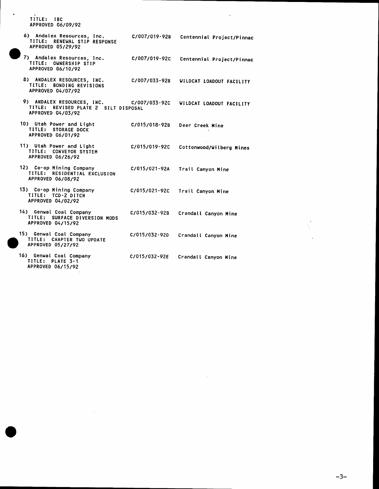TITLE: IBC APPROVED 06/09/92

APPROVED 06/15/92

6) Andalex Resources, Inc.<br>TITLE: RENEWAL STIP RESPONSE C/007/019-92B Centennial Project/Pinnac APPROVED 05/29/92 7) Andalex Resources, Inc. Centennial Project/Pinnac C/007/019-92C TITLE: OWNERSHIP STIP APPROVED 06/10/92 8) ANDALEX RESOURCES, INC. C/007/033-92B WILDCAT LOADOUT FACILITY TITLE: BONDING REVISIONS APPROVED 04/07/92 9) ANDALEX RESOURCES, INC. C/007/033-92C WILDCAT LOADOUT FACILITY TITLE: REVISED PLATE 2 SILT DISPOSAL APPROVED 04/03/92 10) Utah Power and Light C/015/018-92B Deer Creek Mine TITLE: STORAGE DOCK<br>APPROVED 06/01/92 11) Utah Power and Light<br>TITLE: CONVEYOR SYSTEM Cottonwood/Wilberg Mines C/015/019-92C APPROVED 06/26/92 12) Co-op Mining Company C/015/021-92A Trail Canyon Mine TITLE: RESIDENTIAL EXCLUSION **APPROVED 06/08/92** 13) Co-op Mining Company<br>TITLE: TCD-2 DITCH C/015/021-92C Trail Canyon Mine APPROVED 04/02/92 14) Genwal Coal Company C/015/032-92B Crandall Canyon Mine TITLE: SURFACE DIVERSION MODS APPROVED 04/15/92 15) Genwal Coal Company C/015/032-920 Crandall Canyon Mine TITLE: CHAPTER TWO UPDATE APPROVED 05/27/92 16) Genwal Coal Company<br>TITLE: PLATE 3-1 C/015/032-92E Crandall Canyon Mine

 $-3-$ 

÷,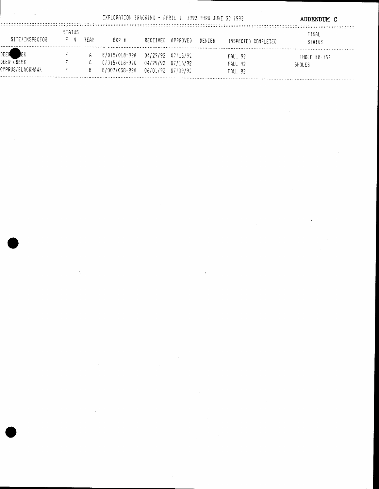|                                               |                          |        | EXPLORATION TRACKING - APRIL 1, 1992 THRU JUNE 30 1992 |                                        |                       |        |                                      | ADDENDUM C                   |
|-----------------------------------------------|--------------------------|--------|--------------------------------------------------------|----------------------------------------|-----------------------|--------|--------------------------------------|------------------------------|
| SITE/INSPECTOR                                | <b>STATUS</b><br>F N     | TEAM   | FXP #                                                  | RECEIVED                               | APPROVED              | DENTED | INSPECTED COMPLETED                  | FINAL<br><b>STATUS</b>       |
| DEEA<br>ΙEΚ<br>DEER OREEK<br>CYPRUS/BLACKHAWK | <b>Contract Contract</b> | A<br>A | E/015/018-92A<br>0/015/018-920<br>E/007/038-92A        | 04/29/92 07/15/92<br>06/01/92 07/09/92 | $04/29/92$ $07/15/92$ |        | FALI 92<br>FALL 92<br><b>FALL 92</b> | $1$ HOLE #M $-152$<br>SHOLES |

 $\label{eq:2.1} \mathcal{L}(\mathcal{L}^{\text{max}}_{\mathcal{L}}(\mathcal{L}^{\text{max}}_{\mathcal{L}}),\mathcal{L}^{\text{max}}_{\mathcal{L}^{\text{max}}_{\mathcal{L}}})$ 

 $\label{eq:2.1} \frac{1}{\sqrt{2\pi}}\sum_{i=1}^n\frac{1}{\sqrt{2\pi}}\sum_{i=1}^n\frac{1}{\sqrt{2\pi}}\sum_{i=1}^n\frac{1}{\sqrt{2\pi}}\sum_{i=1}^n\frac{1}{\sqrt{2\pi}}\sum_{i=1}^n\frac{1}{\sqrt{2\pi}}\sum_{i=1}^n\frac{1}{\sqrt{2\pi}}\sum_{i=1}^n\frac{1}{\sqrt{2\pi}}\sum_{i=1}^n\frac{1}{\sqrt{2\pi}}\sum_{i=1}^n\frac{1}{\sqrt{2\pi}}\sum_{i=1}^n\$ 

 $\label{eq:2.1} \mathcal{L}(\mathcal{L}^{\text{max}}_{\mathcal{L}}(\mathcal{L}^{\text{max}}_{\mathcal{L}}),\mathcal{L}^{\text{max}}_{\mathcal{L}}(\mathcal{L}^{\text{max}}_{\mathcal{L}}))$ 

 $\sigma_{\rm{eff}}$ 

 $\mathcal{A}^{\mathcal{A}}_{\mathcal{A}}$  and  $\mathcal{A}^{\mathcal{A}}_{\mathcal{A}}$  and  $\mathcal{A}^{\mathcal{A}}_{\mathcal{A}}$ 

 $\label{eq:2.1} \mathcal{L}(\mathcal{L}^{\text{max}}_{\text{max}}(\mathcal{L}^{\text{max}}_{\text{max}}(\mathcal{L}^{\text{max}}_{\text{max}}(\mathcal{L}^{\text{max}}_{\text{max}}(\mathcal{L}^{\text{max}}_{\text{max}}(\mathcal{L}^{\text{max}}_{\text{max}}(\mathcal{L}^{\text{max}}_{\text{max}}(\mathcal{L}^{\text{max}}_{\text{max}}(\mathcal{L}^{\text{max}}_{\text{max}}(\mathcal{L}^{\text{max}}_{\text{max}}(\mathcal{L}^{\text{max}}_{\text{max}}(\mathcal{L}^$ 

 $\mathcal{L}^{\text{max}}_{\text{max}}$  and  $\mathcal{L}^{\text{max}}_{\text{max}}$ 

 $\mathcal{L}^{\text{max}}_{\text{max}}$  and  $\mathcal{L}^{\text{max}}_{\text{max}}$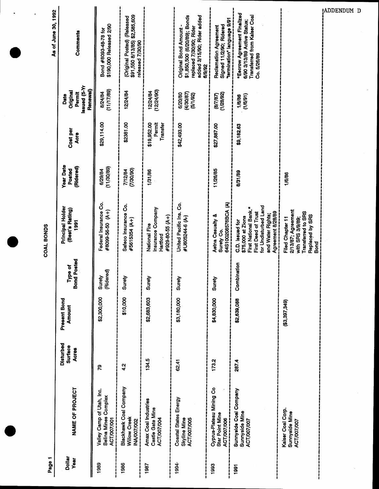|                                                                         |                                      |                        |                               | COAL BONDS                                                                                                                                                    |                                         |                                   |                                                        | As of June 30, 1992                                                                                                            |
|-------------------------------------------------------------------------|--------------------------------------|------------------------|-------------------------------|---------------------------------------------------------------------------------------------------------------------------------------------------------------|-----------------------------------------|-----------------------------------|--------------------------------------------------------|--------------------------------------------------------------------------------------------------------------------------------|
| NAME OF PROJECT                                                         | Disturbed<br>Surface<br><b>Acres</b> | Present Bond<br>Amount | <b>Bond Posted</b><br>Type of | Principal Holder<br>(Best's Rating)<br>1991                                                                                                                   | <b>Year Date</b><br>(Ridered)<br>Posted | Cost per<br>Acre                  | Issued (5-Yr<br>Renewal)<br>Original<br>Permit<br>Date | Comments                                                                                                                       |
| Valley Camp of Utah, Inc.<br><b>Belina Mines Complex</b><br>ACT/007/001 | ඳ                                    | \$2,300,000            | (Ridered)<br>Surety           | Federal Insurance Co.<br>#8099-56-50 (A+)                                                                                                                     | (11/30/89)<br>6/29/84                   | \$29,114.00                       | (11/17/89)<br>8/24/84                                  | \$190,000 Released 2/90<br>Bond #8093-48-78 for                                                                                |
| Blackhawk Coal Company<br>Willow Creek<br>INA/007/002                   | 4.2                                  | \$10,000               | Surety                        | Safeco Insurance Co.<br>#5615354 (A+)                                                                                                                         | (06/20/1)<br>7/12/84                    | \$2381.00                         | 12/24/84                                               | \$91,550 8/13/85) \$2,585,609<br>(Original Posted) (Released<br>released 7/30/90                                               |
| Amax Coal Industries<br>Castle Gate Mine<br>ACT/007/004                 | 134.5                                | \$2,683,603            | Surety                        | <b>Insurance Company</b><br>#929-80-55 (A+)<br>National Fire<br>Hartford                                                                                      | 1/31/86                                 | \$19,952.00<br>Permit<br>Transfer | (12/24/90)<br>12/24/84                                 |                                                                                                                                |
| Coastal States Energy<br><b>ACT/007/005</b><br>Skyline Mine             | 62.41                                | \$3,180,000            | Surety                        | United Pacific Ins. Co.<br>#U605244-6 (A-)                                                                                                                    |                                         | \$42,493.00                       | (4/30/87)<br>6/20/80<br>(5/1/92)                       | \$1,850,500 (6/20/89); Bonds<br>added 3/15/90; Rider added<br>replaced 7/30/90; Rider<br><b>Original Bond Amount</b><br>6/9/92 |
| Cyprus-Plateau Mining Co<br>Star Point Mine<br>ACT/007/006              | 173.2                                | \$4,830,000            | Surety                        | 64S100208576BCA (A)<br>Aetna Casualty &<br>Surety Co.                                                                                                         | 11/26/85                                | \$27,887.00                       | (1/28/92)<br>(8/7/87)                                  | "termination" language 9/91<br>Signed 11/2/90; Ridered<br><b>Reclamation Agreement</b>                                         |
| Sunnyside Coal Company<br>Sunnyside Mine<br>ACT/007/007                 | 287.4                                | \$2,639,088            | hbination<br>Com              | for Undisturbed Land<br>First National Bank.*<br>Agreement 8/28/89<br><b>First Deed of Trust</b><br>and Water Rights;<br>\$75,000 at Zions<br>C.D. Issued for | 8/31/89                                 | \$9,182.63                        | (1/6/91)<br>1/6/86                                     | *Escrow Agreement Finalized<br>Transferred from Kaiser Coal<br>6/90 3/13/89 Active Status;<br>Co. 5/26/89                      |
| Kaiser Coal Corp.<br>Sunnyside Mine<br><b>ACT/007/007</b>               |                                      | $($ \$3,397,349)       |                               | 2/13/87; Agreement<br>Transferred to SRS<br>Replaced by SRS<br>with SRS 3/9/89;<br>Filed Chapter 11<br>Bond                                                   | 1/6/86                                  |                                   |                                                        |                                                                                                                                |
|                                                                         |                                      |                        |                               |                                                                                                                                                               |                                         |                                   |                                                        |                                                                                                                                |

ADDENDUM D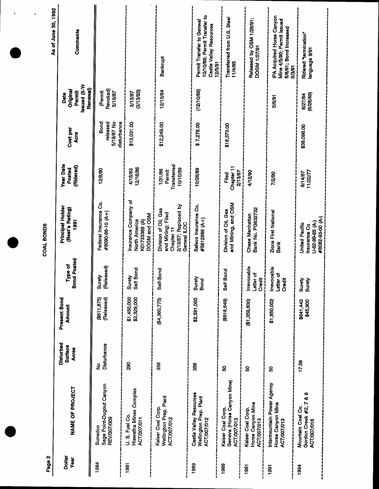| Page 2                  |                                                                  |                                             |                               |                                                  | COAL BONDS                                                                                     |                                              |                                               |                                                        | As of June 30, 1992                                                                                    |
|-------------------------|------------------------------------------------------------------|---------------------------------------------|-------------------------------|--------------------------------------------------|------------------------------------------------------------------------------------------------|----------------------------------------------|-----------------------------------------------|--------------------------------------------------------|--------------------------------------------------------------------------------------------------------|
| <b>Dollar</b><br>Year   | NAME OF PROJECT                                                  | <b>Disturbed</b><br>Surface<br><b>Acres</b> | Present Bond<br><b>Amount</b> | <b>Bond Posted</b><br>Type of                    | Principal Holder<br>(Best's Rating)<br>1991                                                    | <b>Year Date</b><br>(Ridered)<br>Posted      | Cost per<br>Acre                              | Issued (5-Yr<br>Renewal)<br>Original<br>Permit<br>Date | Comments                                                                                               |
| 1984                    | Sage Point-Dugout Canyon<br><b>REV/007/009</b><br>Sunedco        | Disturbance<br>ş                            | (Released)<br>(\$611,875)     | (Released)<br>Surety                             | Federal Insurance Co.<br>#8090-86-10 (A+)                                                      | 12/8/80                                      | Bond<br>released<br>5/19/87 No<br>disturbance | <b>Revoked</b><br>(Permit<br>5/19/87                   |                                                                                                        |
| 1991                    | Hiawatha Mines Complex<br>U.S. Fuel Co.<br>ACT/007/011           | 88                                          | \$1,450,000<br>\$2,329,000    | Bond<br>Surety<br>Self                           | Insurance Company of<br>DOGM and OSM<br>North America<br>K01733369 <sub>(A)</sub>              | 12/16/86<br>4/15/83                          | \$13,031.00                                   | (3/13/92)<br>3/13/87                                   |                                                                                                        |
|                         | Wellington Prep. Plant<br>Kaiser Coal Corp.<br>ACT/007/012       | 356                                         | (\$4,360,775)                 | Self-Bond                                        | 2/13/87; Replaced by<br>Division of Oil, Gas<br>and Mining; Filed<br>Genwal ILOC<br>Chapter 11 | Transferred<br>10/10/89<br>1/31/86<br>Permit | \$12,249.00                                   | 12/10/84                                               | Bankrupt                                                                                               |
| 1989                    | Castle Valley Resources<br>Wellington Prep. Plant<br>ACT/007/012 | 356                                         | \$2,591,000                   | ≥<br>Suret<br>Bond                               | Safeco Insurance Co.<br>#5612986 (A+)                                                          | 10/26/89                                     | \$7,278.00                                    | (12/10/89)                                             | 10/10/89; Permit Transfer to<br>Permit Transfer to Genwal<br><b>Castle Valley Resources</b><br>12/5/91 |
| 1989<br> <br> <br> <br> | Geneva (Horse Canyon Mine)<br>Kaiser Coal Corp.<br>ACT/007/013   | ន                                           | (618, 649)                    | Bond<br>Self <sub>I</sub>                        | and Mining, and OSM<br>Division of Oil, Gas                                                    | Chapter 11<br>2/13/87<br>Filed               | \$18,373.00                                   |                                                        | Transferred from U.S. Steel<br>11/4/85                                                                 |
| 1991                    | Horse Canyon Mine<br>Kaiser Coal Corp.<br>ACT/007/013            | ន                                           | (51,359,600)                  | Irrevocable<br>ō<br>Credit<br>--------<br>Letter | Bank No. PG632732<br>Chase Manhattan                                                           | 4/12/90                                      |                                               |                                                        | Released by OSM 1/26/91;<br><b>DOGM 1/27/91</b>                                                        |
| 1991                    | Intermountain Power Agency<br>Horse Canyon Mine<br>ACT/007/013   | 8                                           | \$1,950,002                   | Irrevocable<br>৳<br>Credit<br>Letter             | <b>Zions First National</b><br><b>Bank</b>                                                     | 7/2/90                                       |                                               | 5/6/91                                                 | <b>PA Acquired Horse Canyon</b><br>Mine 4/5/90; Permit issued<br>5/6/91; Bond increased<br>5/3/91      |
| 1994                    | Gordon Creek #2, 7 & 8<br>Mountain Coal Co.<br>ACT/007/016       | 17.58                                       | \$641,443<br>\$45,900         | Anang<br>Rana                                    | #8082-93-00 (A-)<br>Insurance Co.<br>U-62-99-65 (A-)<br>United Pacific                         | 11/22/77<br>8/14/87                          | \$39,098.00                                   | (8/28/89)<br>8/27/84                                   | Ridered "termination"<br>language 9/91                                                                 |

 $\label{eq:2} \frac{1}{2} \sum_{i=1}^n \frac{1}{2} \sum_{j=1}^n \frac{1}{2} \sum_{j=1}^n \frac{1}{2} \sum_{j=1}^n \frac{1}{2} \sum_{j=1}^n \frac{1}{2} \sum_{j=1}^n \frac{1}{2} \sum_{j=1}^n \frac{1}{2} \sum_{j=1}^n \frac{1}{2} \sum_{j=1}^n \frac{1}{2} \sum_{j=1}^n \frac{1}{2} \sum_{j=1}^n \frac{1}{2} \sum_{j=1}^n \frac{1}{2} \sum_{j=1}^n \frac{1}{$ 

 $\ddot{\phantom{0}}$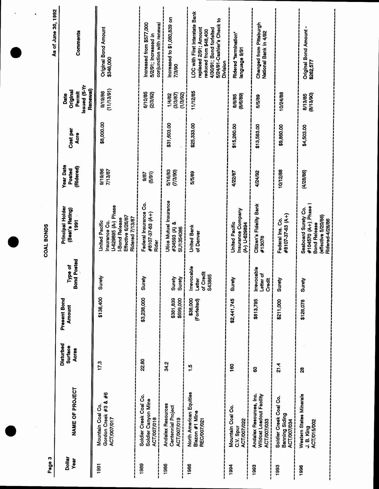| As of June 30, 1992<br>$\bullet$ | Comments                                              |                                                                                                                         |                                                                              |                                                                      | LOC with First Interstate Bank                                                                                             |                                                           |                                                                    |                                                                |                                                                                                             |
|----------------------------------|-------------------------------------------------------|-------------------------------------------------------------------------------------------------------------------------|------------------------------------------------------------------------------|----------------------------------------------------------------------|----------------------------------------------------------------------------------------------------------------------------|-----------------------------------------------------------|--------------------------------------------------------------------|----------------------------------------------------------------|-------------------------------------------------------------------------------------------------------------|
|                                  |                                                       | Original Bond Amount<br>\$346,000                                                                                       | Increased from \$577,000<br>conjunction with renewal<br>5/2/91; Increased in | Increased to \$1,080,839 on<br>7/3/90                                | 5/24/91-Cashier's Check to<br>replaced 2/91; Amount<br>4/30/91; Bond forfeited<br>reduced from \$48,400<br><b>Division</b> | Ridered "termination"<br>18/6 egaugnal                    | Changed from Pittsburgh<br>National Bank in 4/92                   |                                                                | Original Bond Amount -<br>\$262,577                                                                         |
|                                  | Issued (5-Yr<br>Renewal<br>Original<br>Permit<br>Date | (11/13/91)<br>9/19/86                                                                                                   | 6/10/85<br>(2/3/92)                                                          | (1/3/92)<br>(3/3/87)<br>1/4/82                                       | 11/12/85                                                                                                                   | (8/6/89)<br>8/6/85                                        | 5/5/89                                                             | 10/24/88                                                       | (8/13/90)<br>8/13/85                                                                                        |
|                                  | Cost per<br>Acre                                      | \$8,000.00                                                                                                              |                                                                              | \$31,603.00                                                          | \$25,333.00                                                                                                                | \$15,260.00                                               | \$13,563.00                                                        | \$9,860.00                                                     | \$4,503.00                                                                                                  |
|                                  | <b>Year Date</b><br>(Ridered)<br>Posted               | 9/19/86<br>7/13/87                                                                                                      | (5/91)<br>9/87                                                               | 5/16/83<br>(7/3/90)                                                  | 5/5/89                                                                                                                     | 4/22/87                                                   | 4/24/92                                                            | 10/12/88                                                       | (4/28/86)                                                                                                   |
| COAL BONDS                       | Principal Holder<br>(Best's Rating)<br>1991           | U-629895 (A-) Phase<br>Effective 6/26/87<br>Ridered 7/13/87<br><b>I-Bond Release</b><br>United Pacific<br>Insurance Co. | Federal Insurance Co.<br>#8107-37-63 (A+)<br>Rider                           | Utica Mutual Insurance<br>#34593 (A) &<br>SU1354086                  | <b>United Bank</b><br>of Denver                                                                                            | Insurance Company<br>United Pacific<br><b>A-) U-63894</b> | Citizen's Fidelity Bank<br>#13076                                  | #8107-37-63 (A+)<br>Federal Ins. Co.                           | #104570 (A+). Phase<br>Seaboard Surety Co.<br>(effective 5/20/86)<br>Ridered-4/28/86<br><b>Bond Release</b> |
|                                  | <b>Bond Posted</b><br>Type of                         | Surety                                                                                                                  | Surety                                                                       | Surety<br>Surety                                                     | Irrevocable<br>of Credit<br><b>S43865</b><br>Letter                                                                        | Surety                                                    | Irrevocable<br>Letter of<br>Credit                                 | Surety                                                         | Surety                                                                                                      |
|                                  | Present Bond<br><b>Amount</b>                         | \$138,400                                                                                                               | \$3,238,000                                                                  | \$381,839<br>\$699,000                                               | \$38,000<br>(Forfeited)                                                                                                    | \$2,441,745                                               | \$813,795                                                          | \$211,000                                                      | \$126,078                                                                                                   |
|                                  | Disturbed<br>Surface<br>Acres                         | 17.3                                                                                                                    | 22.80                                                                        | 34.2                                                                 | $\frac{10}{1}$                                                                                                             | ë                                                         | 8                                                                  | 21.4                                                           | $\boldsymbol{\mathcal{S}}$                                                                                  |
|                                  | NAME OF PROJECT                                       | Gordon Creek #3 & #6<br>Mountain Coal Co.<br>ACT/007/017                                                                | Soldier Creek Coal Co.<br>Soldier Canyon Mine<br><b>ACT/007/018</b>          | <b>Andalex Resources</b><br><b>Centennial Project</b><br>ACT/007/019 | North American Equities<br>Blazon #1 Mine<br><b>REC/007/021</b>                                                            | Mountain Coal Co.<br><b>ACT/007/022</b><br>C.V. Spur      | Andalex Resources, Inc.<br>Wildcat Loadout Facility<br>ACT/007/033 | Soldier Creek Coal Co.<br>Banning Siding<br><b>ACT/007/034</b> | Western States Minerals<br>ACT/015/002<br>J. B. King                                                        |
| Page 3                           | <b>Dollar</b><br>Year                                 | 1991                                                                                                                    | 1989                                                                         | 1986                                                                 | 1986                                                                                                                       | 1994                                                      | 1993                                                               | 1993                                                           | 1996                                                                                                        |

 $\mathcal{L}_{\mathcal{A}}$ 

 $\mathcal{A}_{\mathcal{A}}$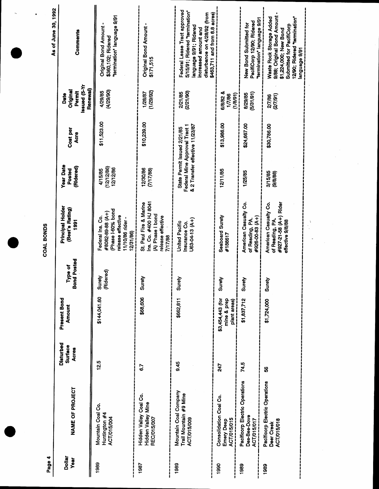| Page 4                |                                                                |                               |                                                 |                               | COAL BONDS                                                                                                     |                                                                                                 |                  |                                                               |                                                                                                                                                                                   |
|-----------------------|----------------------------------------------------------------|-------------------------------|-------------------------------------------------|-------------------------------|----------------------------------------------------------------------------------------------------------------|-------------------------------------------------------------------------------------------------|------------------|---------------------------------------------------------------|-----------------------------------------------------------------------------------------------------------------------------------------------------------------------------------|
| Dollar<br><b>Year</b> | NAME OF PROJECT                                                | Disturbed<br>Surface<br>Acres | Present Bond<br>Amount                          | <b>Bond Posted</b><br>Type of | Principal Holder<br>(Best's Rating)<br>1991                                                                    | <b>Year Date</b><br>(Ridered)<br>Posted                                                         | Cost per<br>Acre | <b>Issued</b> (5-Yr<br>Renewal)<br>Original<br>Permit<br>Date | As of June 30, 1992<br>Comments                                                                                                                                                   |
| 1989                  | Mountain Coal Co.<br>Huntington #4<br><b>ACT/015/004</b>       | 12.5                          | \$144,041.60                                    | (Ridered)<br>Surety           | Phase I-60% bond<br>#8082-89-88 (A+)<br>release effective<br>Federal Ins. Co.<br>11/10/86 rider -<br>12/31/86) | (12/12/86)<br>12/12/86<br>4/15/85                                                               | \$11,523.00      | (4/29/90)<br>4/29/85                                          | "termination" language 9/91<br><b>Original Bond Amount</b><br>\$360,102; Ridered                                                                                                  |
| 1987                  | Hidden Valley Coal Co.<br>Hidden Valley Mine<br>REC/015/007    | 6.7                           | \$68,606                                        | Surety                        | Ins. Co. #400 HJ 8041<br>St. Paul Fire & Marine<br>(A) Phase I bond<br>release effective<br>7/17/88            | 12/30/86<br>(7/17/88)                                                                           | \$10,239.00      | (1/29/92)<br>1/28/87                                          | Original Bond Amount -<br>\$171,515                                                                                                                                               |
| 1989                  | Mountain Coal Company<br>Trail Mountain #9 Mine<br>ACT/015/009 | 9.45                          | \$662,811                                       | Suret                         | U63-04-13 (A+)<br><b>United Pacific</b><br>Insurance Co.                                                       | & 2 Transfer effective 11/23/87<br>Federal Mine Approval Tract 1<br>State Permit Issued 2/21/85 |                  | (2/21/90)<br>2/21/85                                          | Federal Lease Tract approved<br>5/15/91; Ridered "termination"<br>\$463,711 and from 8.8 acres)<br>disturbance on 4/28/92 (from<br>language 9/91; Ridered<br>increased amount and |
| 1990                  | Consolidation Coal Co.<br>ACT/015/015<br>Emery Deep            | 247                           | \$3,454,443 (for<br>mine & prep<br>plant areas) | Surety                        | Seaboard Surety<br>#188617                                                                                     | 12/11/85                                                                                        | \$13,986.00      | 6/8/82 &<br>(1/8/9)<br>1/7/86                                 |                                                                                                                                                                                   |
| 1989                  | Pacificorp Electric Operations<br>Des-Bee-Dove<br>ACT/015/017  | 74.5                          | \$1,837,712                                     | Surety                        | American Casualty Co.<br>#926-00-83 (A+)<br>of Reading, PA                                                     | 1/25/85                                                                                         | \$24,667.00      | (5/31/91)<br>8/29/85                                          | termination" language 9/91<br>PacifiCorp 12/90; Ridered<br>New Bond Submitted for                                                                                                 |
| 1989                  | Pacificorp Electric Operations<br>ACT/015/018<br>Deer Creek    | 3                             | \$1,724,000                                     | Surety                        | American Casualty Co.<br>of Reading, PA.<br>#927-21-58 (A+) Rider<br>effective 9/8/88                          | 3/15/85<br>(9/8/8)                                                                              | \$30,786.00      | (27791)<br>2/7/86                                             | 9/88; Original Bond Amount<br>Waste Rock Storage Added<br>12/90; Ridered "termination"<br>Submitted for PacifiCorp<br>\$1,224,000; New Bond<br>re/e egaugna                       |

 $\ddot{\phantom{0}}$ 

 $\cdot$ 

 $\overline{\phantom{a}}$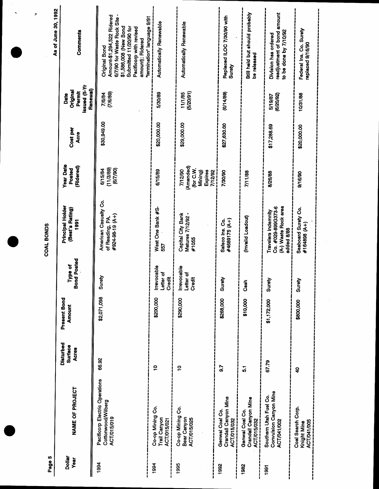| Page 5                  |                                                                     |                                             |                               |                                         | COAL BONDS                                                                      |                                                                                  |                  |                                                               | As of June 30, 1992                                                                                                                                                                                         |
|-------------------------|---------------------------------------------------------------------|---------------------------------------------|-------------------------------|-----------------------------------------|---------------------------------------------------------------------------------|----------------------------------------------------------------------------------|------------------|---------------------------------------------------------------|-------------------------------------------------------------------------------------------------------------------------------------------------------------------------------------------------------------|
| <b>Dollar</b><br>Year   | NAME OF PROJECT                                                     | Disturbed<br><b>Surface</b><br><b>Acres</b> | Present Bond<br><b>Amount</b> | <b>hd Posted</b><br>Type of<br><b>G</b> | Principal Holder<br>(Best's Rating)<br>1991                                     | <b>Year Date</b><br>(Ridered)<br>Posted                                          | Cost per<br>Acre | <b>IX-S)</b> penssi<br>Renewal)<br>Original<br>Permit<br>Date | Comments                                                                                                                                                                                                    |
| 1994                    | Pacificorp Electric Operations<br>Cottonwood/Wilberg<br>ACT/015/019 | 66.92                                       | \$2,071,098                   | Surety                                  | American Casualty Co.<br>#924-98-19 (A+)<br>of Reading, PA.                     | (11/3/89)<br>(677/90)<br>6/15/84                                                 | \$30,949.00      | (7/6/89)<br>7/6/84                                            | 6/7/90 for Waste Rock Site -<br>Amount-\$1,294,522 Ridered<br>termination" language 9/91<br>\$1,586,008 (New Bond<br>Submitted 11/20/90 for<br>Pacificorp with revised<br>amount); Ridered<br>Original Bond |
| <br> <br> <br> <br>1994 | Co-op Mining Co.<br>Trail Canyon<br>ACT/015/021                     | $\ddot{ }$                                  | \$200,000                     | Irrevocable<br>Letter of<br>Credit      | West One Bank #S<br>557                                                         | 6/15/89                                                                          | \$20,000.00      | 5/30/89                                                       | Automatically Renewable                                                                                                                                                                                     |
| 1995                    | Co-op Mining Co.<br>Bear Canyon<br>ACT/015/025                      | $\overline{a}$                              | \$290,000                     | Irrevocable<br>Letter of<br>Credit      | Capital City Bank<br>Matures 7/12/92 -<br>#1055                                 | (Amended)<br>(for C.W.<br>7/12/90<br>Expires<br>Mining)<br>7/12/92<br>י<br> <br> | \$29,000.00      | (5/20/91)<br>11/1/85                                          | <b>Automatically Renewable</b>                                                                                                                                                                              |
| 1992                    | Crandall Canyon Mine<br>Genwal Coal Co.<br>ACT/015/032              | $\overline{9.7}$                            | \$268,000                     | Surety                                  | #4689175 (A+)<br>Safeco Ins. Co.                                                | 7/30/90                                                                          | \$27,630.00      | (6/14/89)                                                     | Replaced ILOC 7/30/90 with<br>Surety                                                                                                                                                                        |
| 1982                    | Crandall Canyon Mine<br>Genwal Coal Co.<br>ACT/015/032              | $\frac{1}{5}$                               | \$10,000                      | Cash                                    | (Invalid Loadout)                                                               | 7/11/88                                                                          |                  |                                                               | Still held but should probably<br>be released                                                                                                                                                               |
| 1991                    | Convulsion Canyon Mine<br>Southern Utah Fuel Co.<br>ACT/041/002     | 67.79                                       | \$1,172,000                   | Surety                                  | (A-) Waste Rock area<br>Co. #029-899G373-6<br>Travelers Indemnity<br>added 8/88 | 8/26/88                                                                          | \$17,288.69      | (6/20/92)<br>5/19/87                                          | readjustment of bond amount<br>to be done by 7/10/92<br>Division has ordered                                                                                                                                |
|                         | Coal Search Corp.<br><b>ACT/041/005</b><br>Knight Mine              | $\ddot{\mathbf{z}}$                         | \$800,000                     | ≥<br>Suret                              | Seaboard Surety Co.<br>#164898 (A+)                                             | 9/16/90                                                                          | \$20,000.00      | 10/31/88                                                      | Federal Ins. Co. Surety<br>replaced 9/16/90                                                                                                                                                                 |
|                         |                                                                     |                                             |                               |                                         |                                                                                 |                                                                                  |                  |                                                               |                                                                                                                                                                                                             |

 $\hat{\mathcal{F}}$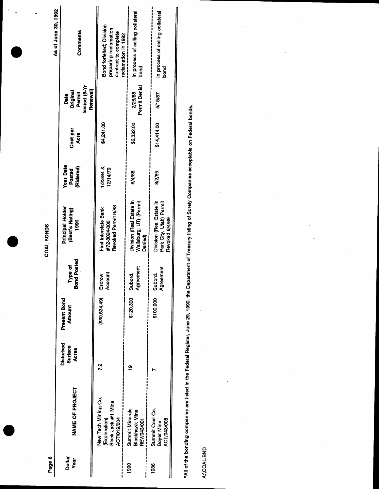|                   | As of June 30, 1992<br>Comments                   |                  | Bond forfeited; Division<br>preparing reclamation<br>contract to complete<br>reclamation in 1992 | In process of selling collateral<br>İ<br>bond<br>S            | In process of selling collateral<br>____________________<br><b>bond</b> |  |
|-------------------|---------------------------------------------------|------------------|--------------------------------------------------------------------------------------------------|---------------------------------------------------------------|-------------------------------------------------------------------------|--|
|                   | <b>Issued</b> (5-Yr<br>Original<br>Permit<br>Date | <b>Renewal</b> ) |                                                                                                  | Permit Denial<br>2/26/88                                      | <br> <br> <br> <br>5/15/87                                              |  |
|                   | Cost per<br>Acre                                  |                  | \$4,241.00                                                                                       | \$6,332.00                                                    | \$14,414.00                                                             |  |
|                   | <b>Year Date</b><br>(Ridered)<br>Posted           |                  | $1/23/84$ &<br>12/14/79                                                                          | 6/4/86                                                        | 8/2/85                                                                  |  |
| <b>COAL BONDS</b> | Principal Holder<br>(Best's Rating)<br>1991       |                  | Revoked Permit 9/88<br>First Interstate Bank<br>#72-3024-006<br> <br> <br>                       | Division (Real Estate in<br>Wallsburg, UT) (Permit<br>Denied) | Division (Real Estate in<br>Park City, Utah) Permit<br>Revoked 8/4/89   |  |
|                   | nd Posted<br>Type of<br>នី                        |                  | Account<br>i                                                                                     | Agreement<br>Subord                                           | Agreement                                                               |  |
|                   | Present Bond<br><b>Amount</b>                     |                  | (\$30,534.49) Escrow                                                                             | \$120,300                                                     | \$100,900 Subord.<br>---------                                          |  |
|                   | Disturbed<br>Surface<br><b>Acres</b>              |                  | 72                                                                                               | ë                                                             |                                                                         |  |
|                   | <b>NAME OF PROJECT</b>                            |                  | New Tech Mining Co.<br>Black Jack #1 Mine<br>(Exploration)                                       | <b>Summit Minerals</b><br>Blackhawk Mine<br>REV/043/001       | Summit Coal Co.<br>ACT/043/008<br>Boyer Mine                            |  |
| Page 6            | <b>Dollar</b><br><b>Year</b>                      |                  |                                                                                                  | 1990                                                          | 1986                                                                    |  |

 $\ddot{\phantom{1}}$ 

\*All of the bonding companies are listed in the Federal Register, June 29, 1990, the Department of Treasury listing of Surety Companies acceptable on Federal bonds.

 $\bar{\bar{z}}$ 

l,

 $\ddot{\cdot}$ 

A:\COAL.BND